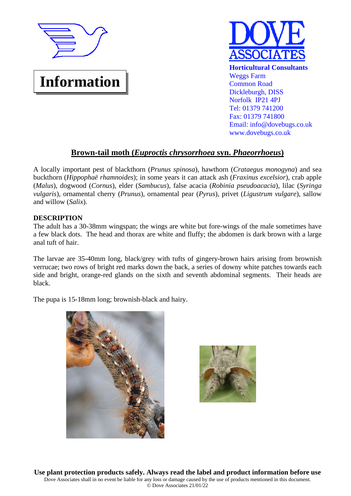

**Information**

# **Horticultural Consultants** Weggs Farm Common Road Dickleburgh, DISS Norfolk IP21 4PJ Tel: 01379 741200 Fax: 01379 741800 Email: info@dovebugs.co.uk www.dovebugs.co.uk

# **Brown-tail moth (***Euproctis chrysorrhoea* **syn.** *Phaeorrhoeus***)**

A locally important pest of blackthorn (*Prunus spinosa*), hawthorn (*Crataegus monogyna*) and sea buckthorn (*Hippophaë rhamnoides*); in some years it can attack ash (*Fraxinus excelsior*), crab apple (*Malus*), dogwood (*Cornus*), elder (*Sambucus*), false acacia (*Robinia pseudoacacia*), lilac (*Syringa vulgaris*), ornamental cherry (*Prunus*), ornamental pear (*Pyrus*), privet (*Ligustrum vulgare*), sallow and willow (*Salix*).

# **DESCRIPTION**

The adult has a 30-38mm wingspan; the wings are white but fore-wings of the male sometimes have a few black dots. The head and thorax are white and fluffy; the abdomen is dark brown with a large anal tuft of hair.

The larvae are 35-40mm long, black/grey with tufts of gingery-brown hairs arising from brownish verrucae; two rows of bright red marks down the back, a series of downy white patches towards each side and bright, orange-red glands on the sixth and seventh abdominal segments. Their heads are black.

The pupa is 15-18mm long; brownish-black and hairy.